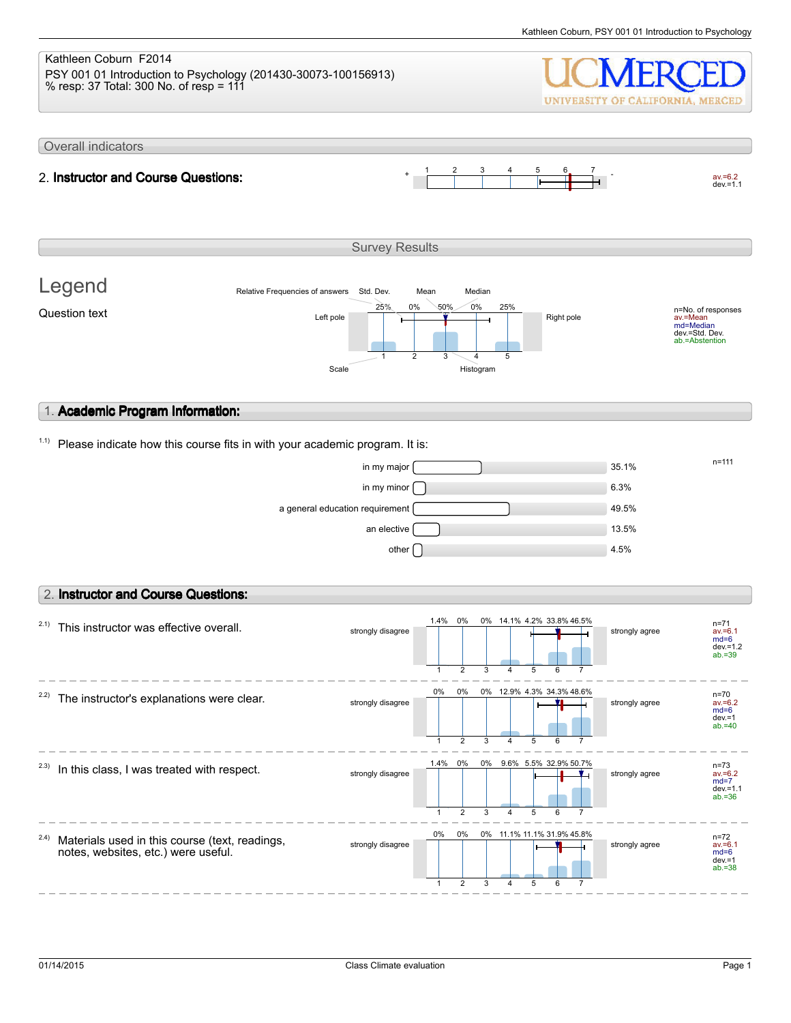#### Kathleen Coburn F2014 PSY 001 01 Introduction to Psychology (201430-30073-100156913) % resp: 37 Total: 300 No. of resp = 111 UNIVERSITY OF CALIFORNIA, MERCED Overall indicators 1 2 3 4 5 6 7  $av.=6.2$ <br>dev.=1.1 2. **Instructor and Course Questions:** Survey Results Legend Relative Frequencies of answers Std. Dev. Mean Median 0% 25% 0% 50% 25% n=No. of responses av.=Mean md=Median Question text  $L$  and  $L$  the  $\frac{L}{L}$  and  $\frac{L}{L}$  and  $\frac{L}{L}$  Right pole dev.=Std. Dev. ab.=Abstention 1 2 3 4 5 Scale Histogram 1. **Academic Program Information:**  $1.1)$  Please indicate how this course fits in with your academic program. It is:  $\frac{m}{111}$  in my major  $\frac{m}{111}$  $\lim_{x\to 0}$  my minor  $\bigcap$  6.3% a general education requirement **49.5%** an elective  $\Box$ other  $\bigcap$  4.5% 2. **Instructor and Course Questions:** 1.4% 0% 0% 14.1%  $2.1)$  This instructor was effective overall. 4.2% 33.8% 46.5% n=71 strongly disagree strongly disagree av.=6.1 md=6 dev.=1.2 ab.=39 1 2 3 4 5 6 7 0% 0%  $2.2$ ) The instructor's explanations were clear. 0% 12.9% 4.3% 34.3% 48.6% n=70 av.=6.2 md=6 strongly disagree **strongly** disagree dev.=1  $ab = 40$ 1 2 3 4 5 6 7 1.4% 0% 0% 9.6% 5.5% n=73  $2.3)$  In this class, I was treated with respect. 32.9% 50.7% strongly disagree strongly agree av.=6.2 md=7  $dev = 1.1$ ab.=36 1 2 3 4 5 6 7 0% 0% 0%

1

2

3

strongly disagree strongly disagree

4 5 6 7

11.1% 11.1% 31.9% 45.8%

n=72 av.=6.1 md=6 dev.=1 ab.=38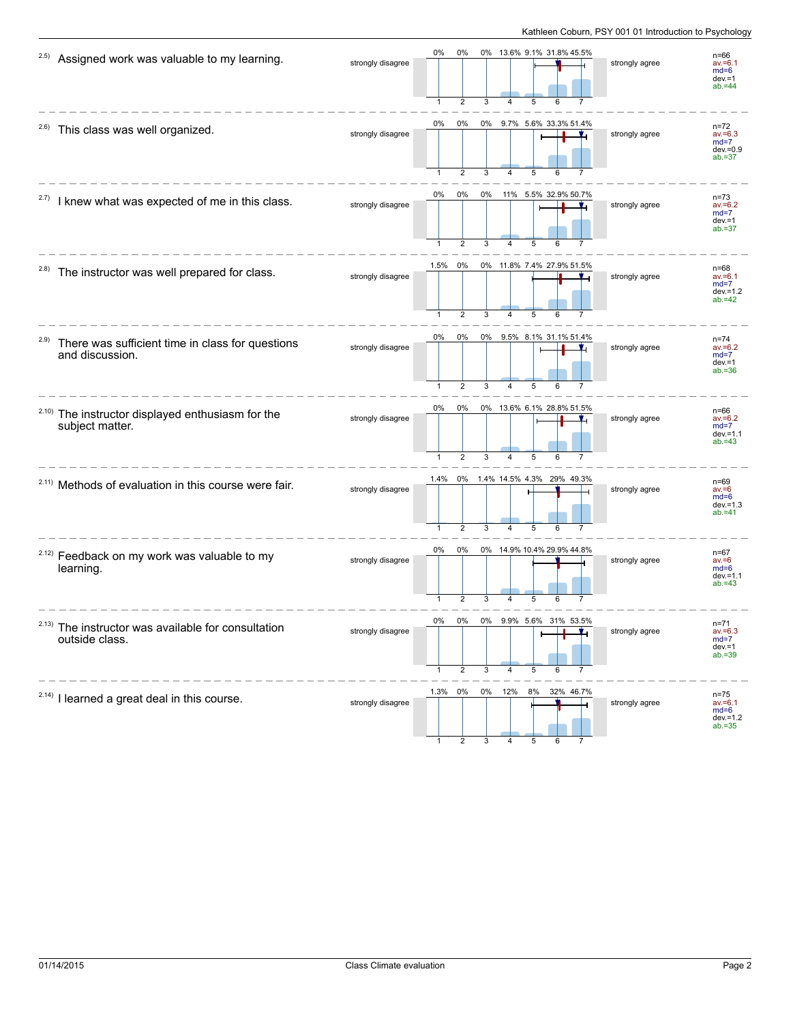| 2.5)<br>Assigned work was valuable to my learning.                          | strongly disagree | 0%<br>0%<br>0% 13.6% 9.1% 31.8% 45.5%                                                           | strongly agree | $n = 66$<br>$av = 6.1$<br>$md=6$<br>$dev = 1$<br>$ab = 44$   |
|-----------------------------------------------------------------------------|-------------------|-------------------------------------------------------------------------------------------------|----------------|--------------------------------------------------------------|
| <sup>2.6)</sup> This class was well organized.                              | strongly disagree | 0%<br>0% 9.7% 5.6% 33.3% 51.4%<br>0%<br>$\overline{2}$<br>3<br>5<br>4                           | strongly agree | $n = 72$<br>$av = 6.3$<br>$md=7$<br>$dev = 0.9$<br>$ab = 37$ |
| 2.7)<br>I knew what was expected of me in this class.                       | strongly disagree | 0%<br>0%<br>0%<br>11% 5.5% 32.9% 50.7%<br>Ł<br>5                                                | strongly agree | $n = 73$<br>$av = 6.2$<br>$md=7$<br>$dev = 1$<br>$ab = 37$   |
| The instructor was well prepared for class.                                 | strongly disagree | 1.5% 0%<br>0% 11.8% 7.4% 27.9% 51.5%<br>$\overline{2}$<br>1<br>3<br>4<br>5<br>6                 | strongly agree | $n = 68$<br>$av = 6.1$<br>$md=7$<br>$dev = 1.2$<br>$ab = 42$ |
| 2.9)<br>There was sufficient time in class for questions<br>and discussion. | strongly disagree | 0%<br>0%<br>9.5% 8.1% 31.1% 51.4%<br>0%<br>$\overline{1}$<br>$\overline{2}$<br>3<br>5<br>6<br>4 | strongly agree | $n = 74$<br>$av = 6.2$<br>$md=7$<br>$dev = 1$<br>$ab = 36$   |
| 2.10)<br>The instructor displayed enthusiasm for the<br>subject matter.     | strongly disagree | 0%<br>0%<br>0% 13.6% 6.1% 28.8% 51.5%<br>2<br>5                                                 | strongly agree | $n=66$<br>$av = 6.2$<br>$md=7$<br>$dev = 1.1$<br>$ab = 43$   |
| <sup>2.11)</sup> Methods of evaluation in this course were fair.            | strongly disagree | 0% 1.4% 14.5% 4.3% 29% 49.3%<br>1.4%<br>$\overline{2}$<br>5                                     | strongly agree | $n=69$<br>$av = 6$<br>$md=6$<br>$dev = 1.3$<br>$ab = 41$     |
| <sup>2.12)</sup> Feedback on my work was valuable to my<br>learning.        | strongly disagree | 0% 14.9% 10.4% 29.9% 44.8%<br>0%<br>0%<br>5                                                     | strongly agree | $n = 67$<br>$av = 6$<br>$md=6$<br>$dev = 1.1$<br>$ab = 43$   |
| $2.13)$ The instructor was available for consultation<br>outside class.     | strongly disagree | U%<br>U%<br>$0\%$ 9.9% 5.0% 31% 53.5%<br>۰.<br>5<br>2<br>3<br>4<br>6                            | strongly agree | $n = 71$<br>$av = 6.3$<br>$md=7$<br>$dev = 1$<br>$ab = 39$   |
| $2.14$ ) I learned a great deal in this course.                             | strongly disagree | 1.3% 0%<br>0% 12% 8%<br>32% 46.7%                                                               | strongly agree | $n = 75$<br>$av = 6.1$<br>$md=6$<br>$dev = 1.2$<br>$ab = 35$ |

1 2 3 4 5 6 7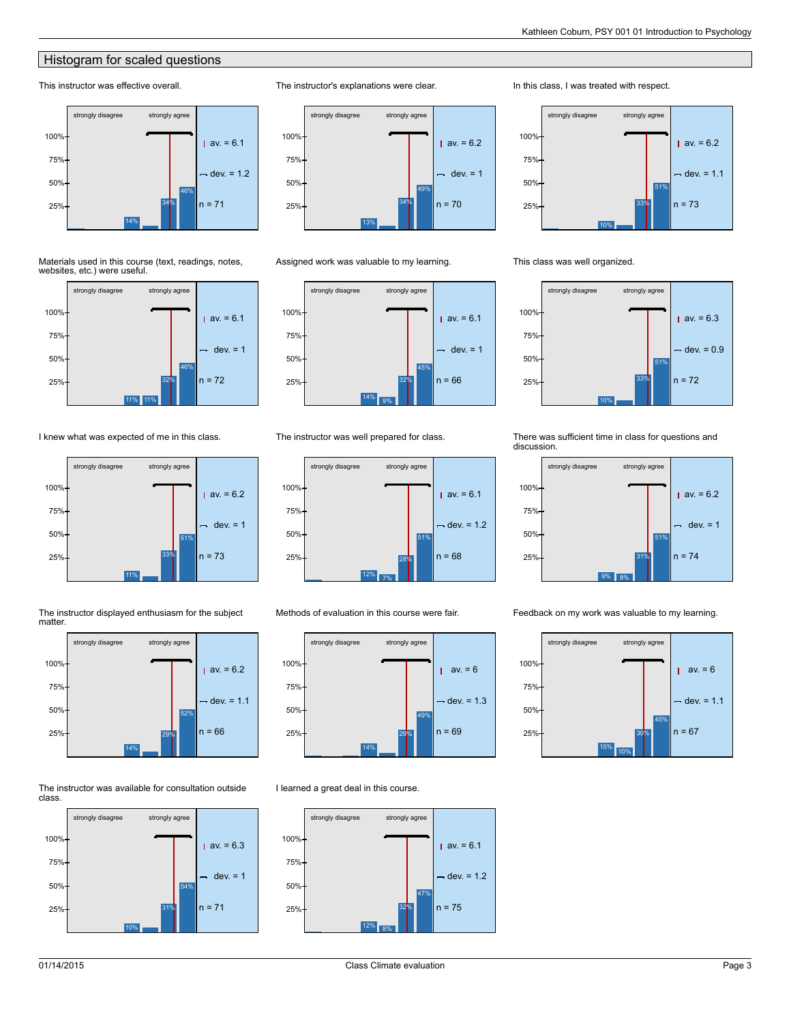### **Histogram for scaled questions**

#### This instructor was effective overall.



#### Materials used in this course (text, readings, notes, websites, etc.) were useful.



I knew what was expected of me in this class.







#### The instructor was available for consultation outside class.





#### Assigned work was valuable to my learning.

The instructor's explanations were clear.



#### The instructor was well prepared for class.



Methods of evaluation in this course were fair.



#### I learned a great deal in this course.



#### In this class, I was treated with respect.



#### This class was well organized.



#### There was sufficient time in class for questions and discussion.



Feedback on my work was valuable to my learning.

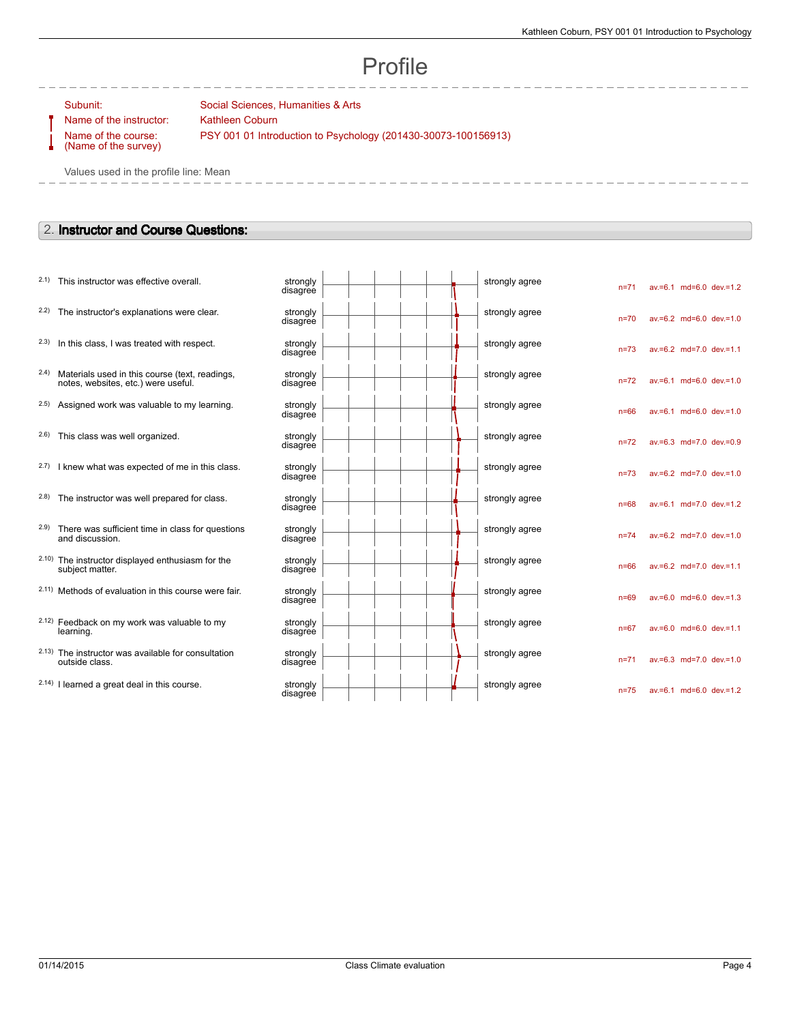# Profile

Name of the instructor: Kathleen Coburn Name of the course: (Name of the survey)

Subunit: Social Sciences, Humanities & Arts PSY 001 01 Introduction to Psychology (201430-30073-100156913)

Values used in the profile line: Mean

### 2. **Instructor and Course Questions:**

|       | 2.1) This instructor was effective overall.                                           | strongly<br>disagree |  | strongly agree | $n = 71$ |                         | av.=6.1 md=6.0 dev.=1.2   |
|-------|---------------------------------------------------------------------------------------|----------------------|--|----------------|----------|-------------------------|---------------------------|
| 2.2)  | The instructor's explanations were clear.                                             | strongly<br>disagree |  | strongly agree | $n = 70$ |                         | $av.=6.2$ md=6.0 dev.=1.0 |
| (2.3) | In this class, I was treated with respect.                                            | strongly<br>disagree |  | strongly agree | $n = 73$ |                         | av.=6.2 md=7.0 dev.=1.1   |
| (2.4) | Materials used in this course (text, readings,<br>notes, websites, etc.) were useful. | strongly<br>disagree |  | strongly agree | $n = 72$ |                         | av.=6.1 md=6.0 dev.=1.0   |
|       | 2.5) Assigned work was valuable to my learning.                                       | strongly<br>disagree |  | strongly agree | $n = 66$ |                         | $av.=6.1$ md=6.0 dev.=1.0 |
| (2.6) | This class was well organized.                                                        | strongly<br>disagree |  | strongly agree | $n = 72$ |                         | av.=6.3 md=7.0 dev.=0.9   |
|       | 2.7) I knew what was expected of me in this class.                                    | strongly<br>disagree |  | strongly agree | $n = 73$ | av.=6.2 md=7.0 dev.=1.0 |                           |
|       | 2.8) The instructor was well prepared for class.                                      | strongly<br>disagree |  | strongly agree | $n = 68$ |                         | av.=6.1 md=7.0 dev.=1.2   |
| (2.9) | There was sufficient time in class for questions<br>and discussion.                   | strongly<br>disagree |  | strongly agree | $n = 74$ |                         | av.=6.2 md=7.0 dev.=1.0   |
|       | 2.10) The instructor displayed enthusiasm for the<br>subject matter.                  | strongly<br>disagree |  | strongly agree | $n = 66$ |                         | av.=6.2 md=7.0 dev.=1.1   |
|       | 2.11) Methods of evaluation in this course were fair.                                 | strongly<br>disagree |  | strongly agree | $n = 69$ |                         | av.=6.0 md=6.0 dev.=1.3   |
|       | 2.12) Feedback on my work was valuable to my<br>learning.                             | strongly<br>disagree |  | strongly agree | $n = 67$ |                         | av.=6.0 md=6.0 dev.=1.1   |
|       | 2.13) The instructor was available for consultation<br>outside class.                 | strongly<br>disagree |  | strongly agree | $n = 71$ |                         | av.=6.3 md=7.0 dev.=1.0   |
|       | 2.14) I learned a great deal in this course.                                          | strongly<br>disagree |  | strongly agree | $n = 75$ |                         | av.=6.1 md=6.0 dev.=1.2   |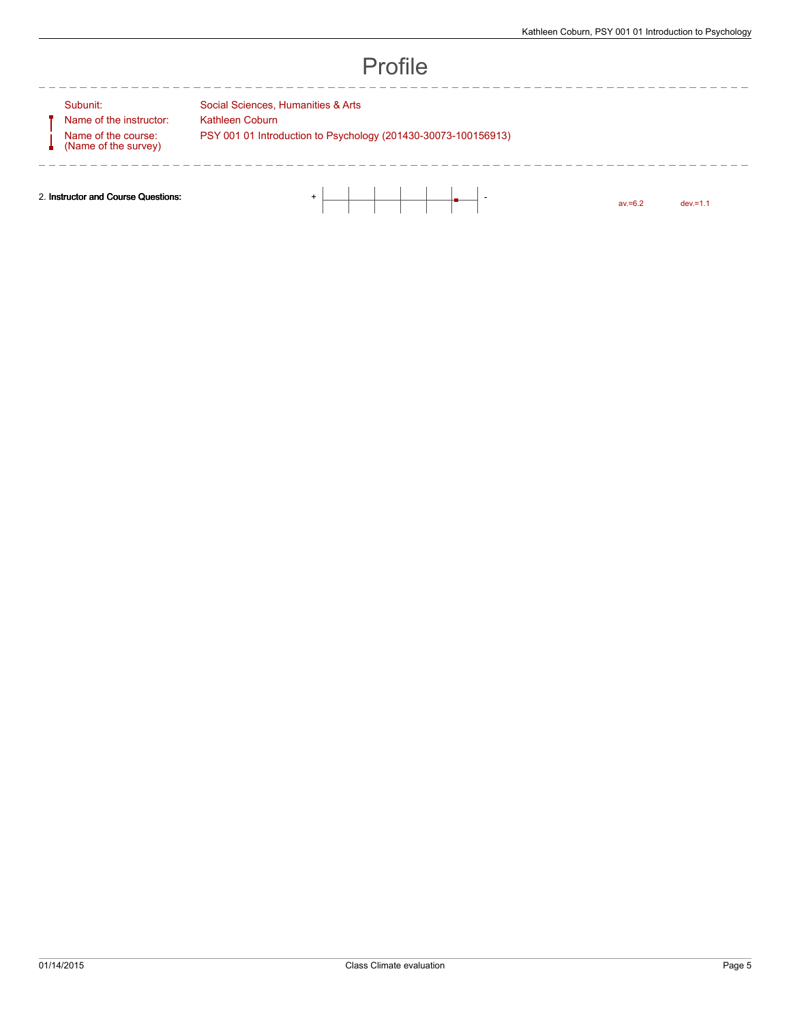av.=6.2 dev.=1.1

## Profile

#### Subunit: Social Sciences, Humanities & Arts

Name of the instructor: Kathleen Coburn Name of the course: (Name of the survey)

----------

PSY 001 01 Introduction to Psychology (201430-30073-100156913)

2. **Instructor and Course Questions:**  $+$   $+$   $+$   $+$   $+$   $+$   $+$   $+$ 

----------------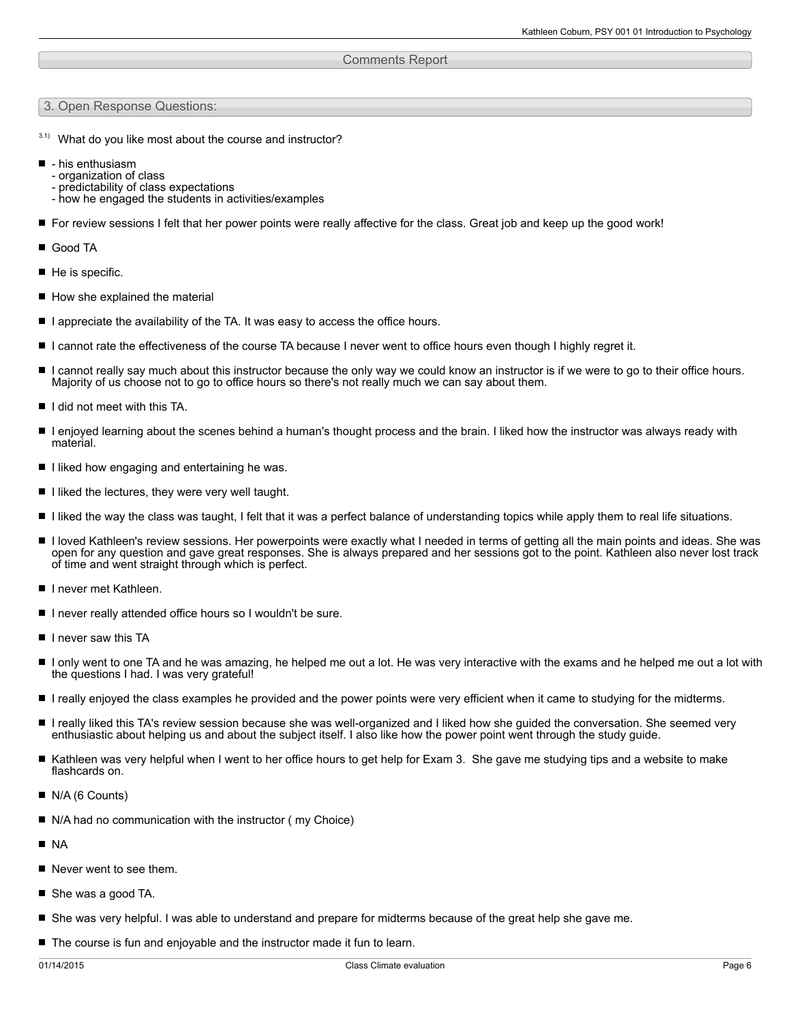#### Comments Report

#### 3. Open Response Questions:

- $3.1)$  What do you like most about the course and instructor?
- his enthusiasm
	- organization of class
	- predictability of class expectations
	- how he engaged the students in activities/examples
- For review sessions I felt that her power points were really affective for the class. Great job and keep up the good work!
- Good TA
- $\blacksquare$  He is specific.
- How she explained the material
- $\blacksquare$  I appreciate the availability of the TA. It was easy to access the office hours.
- I cannot rate the effectiveness of the course TA because I never went to office hours even though I highly regret it.
- I cannot really say much about this instructor because the only way we could know an instructor is if we were to go to their office hours. Majority of us choose not to go to office hours so there's not really much we can say about them.
- I did not meet with this TA.
- I enjoyed learning about the scenes behind a human's thought process and the brain. I liked how the instructor was always ready with material.
- I liked how engaging and entertaining he was.
- $\blacksquare$  I liked the lectures, they were very well taught.
- I liked the way the class was taught, I felt that it was a perfect balance of understanding topics while apply them to real life situations.
- I loved Kathleen's review sessions. Her powerpoints were exactly what I needed in terms of getting all the main points and ideas. She was open for any question and gave great responses. She is always prepared and her sessions got to the point. Kathleen also never lost track of time and went straight through which is perfect.
- I I never met Kathleen.
- I never really attended office hours so I wouldn't be sure.
- I I never saw this TA
- I only went to one TA and he was amazing, he helped me out a lot. He was very interactive with the exams and he helped me out a lot with the questions I had. I was very grateful!
- I really enjoyed the class examples he provided and the power points were very efficient when it came to studying for the midterms.
- I really liked this TA's review session because she was well-organized and I liked how she guided the conversation. She seemed very enthusiastic about helping us and about the subject itself. I also like how the power point went through the study guide.
- Kathleen was very helpful when I went to her office hours to get help for Exam 3. She gave me studying tips and a website to make flashcards on.
- N/A (6 Counts)
- N/A had no communication with the instructor (my Choice)
- **NA**
- Never went to see them.
- She was a good TA.
- She was very helpful. I was able to understand and prepare for midterms because of the great help she gave me.
- The course is fun and enjoyable and the instructor made it fun to learn.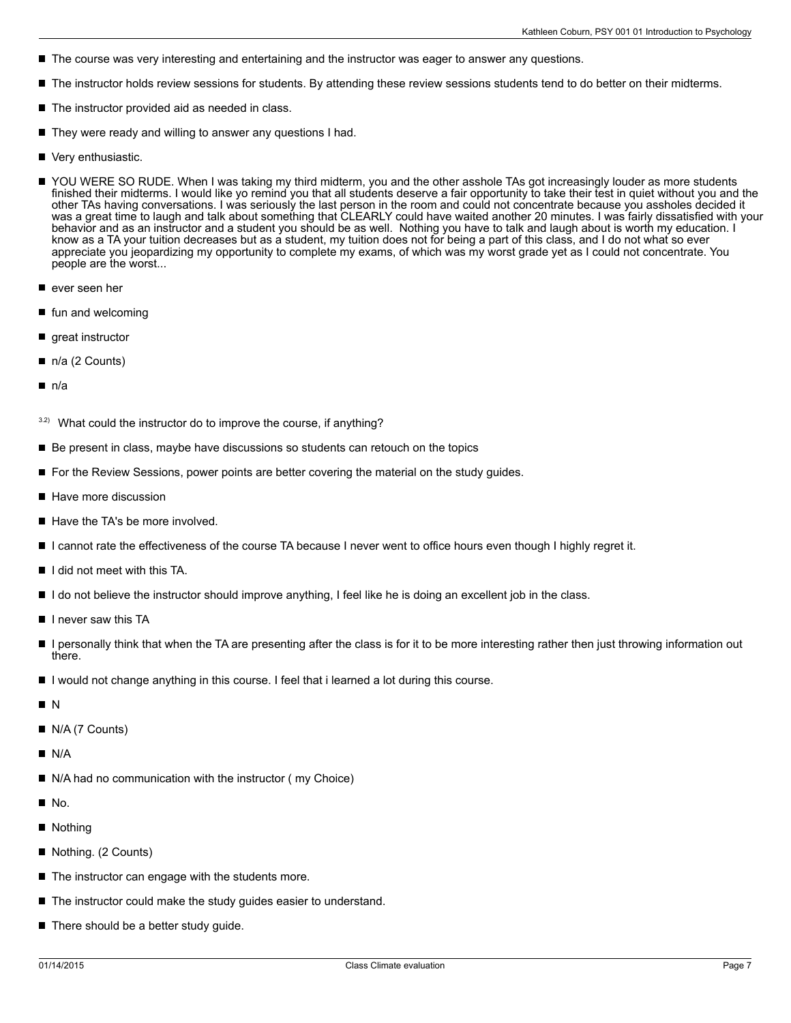- The course was very interesting and entertaining and the instructor was eager to answer any questions.
- The instructor holds review sessions for students. By attending these review sessions students tend to do better on their midterms.
- The instructor provided aid as needed in class.
- They were ready and willing to answer any questions I had.
- Very enthusiastic.
- YOU WERE SO RUDE. When I was taking my third midterm, you and the other asshole TAs got increasingly louder as more students finished their midterms. I would like yo remind you that all students deserve a fair opportunity to take their test in quiet without you and the other TAs having conversations. I was seriously the last person in the room and could not concentrate because you assholes decided it was a great time to laugh and talk about something that CLEARLY could have waited another 20 minutes. I was fairly dissatisfied with your behavior and as an instructor and a student you should be as well. Nothing you have to talk and laugh about is worth my education. I know as a TA your tuition decreases but as a student, my tuition does not for being a part of this class, and I do not what so ever appreciate you jeopardizing my opportunity to complete my exams, of which was my worst grade yet as I could not concentrate. You people are the worst...
- ever seen her
- П fun and welcoming
- great instructor
- n/a (2 Counts)
- n/a
- $3.2$ ) What could the instructor do to improve the course, if anything?
- Be present in class, maybe have discussions so students can retouch on the topics
- For the Review Sessions, power points are better covering the material on the study guides.
- Have more discussion
- Have the TA's be more involved.
- I cannot rate the effectiveness of the course TA because I never went to office hours even though I highly regret it.
- $\blacksquare$  I did not meet with this TA.
- If I do not believe the instructor should improve anything, I feel like he is doing an excellent job in the class.
- I I never saw this TA
- I personally think that when the TA are presenting after the class is for it to be more interesting rather then just throwing information out there.
- $\blacksquare$ I would not change anything in this course. I feel that i learned a lot during this course.
- N
- N/A (7 Counts)
- N/A
- N/A had no communication with the instructor (my Choice)
- $N<sub>0</sub>$
- Nothing
- Nothing. (2 Counts)
- $\blacksquare$  The instructor can engage with the students more.
- The instructor could make the study guides easier to understand.
- There should be a better study guide.